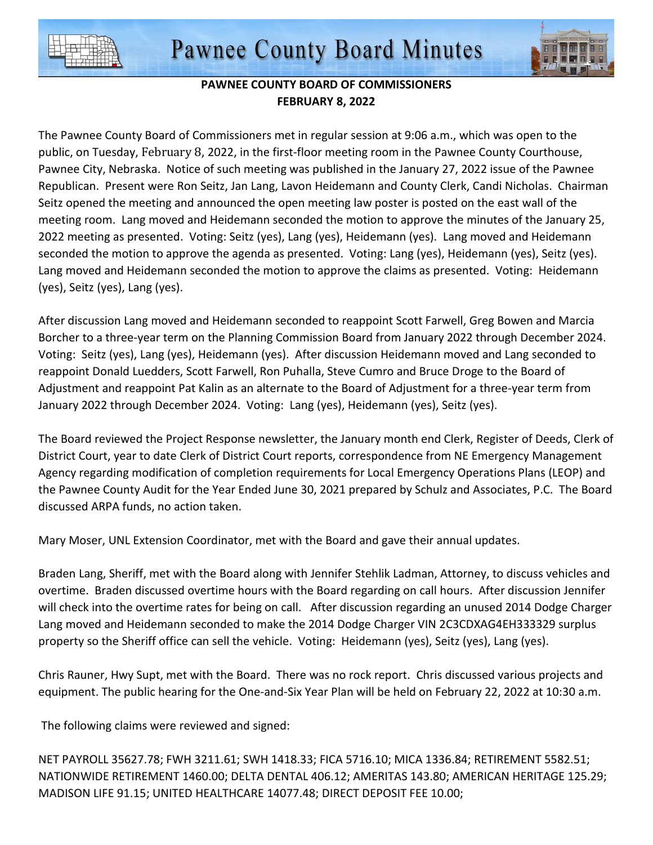



## **PAWNEE COUNTY BOARD OF COMMISSIONERS FEBRUARY 8, 2022**

The Pawnee County Board of Commissioners met in regular session at 9:06 a.m., which was open to the public, on Tuesday, February 8, 2022, in the first-floor meeting room in the Pawnee County Courthouse, Pawnee City, Nebraska. Notice of such meeting was published in the January 27, 2022 issue of the Pawnee Republican. Present were Ron Seitz, Jan Lang, Lavon Heidemann and County Clerk, Candi Nicholas. Chairman Seitz opened the meeting and announced the open meeting law poster is posted on the east wall of the meeting room. Lang moved and Heidemann seconded the motion to approve the minutes of the January 25, 2022 meeting as presented. Voting: Seitz (yes), Lang (yes), Heidemann (yes). Lang moved and Heidemann seconded the motion to approve the agenda as presented. Voting: Lang (yes), Heidemann (yes), Seitz (yes). Lang moved and Heidemann seconded the motion to approve the claims as presented. Voting: Heidemann (yes), Seitz (yes), Lang (yes).

After discussion Lang moved and Heidemann seconded to reappoint Scott Farwell, Greg Bowen and Marcia Borcher to a three-year term on the Planning Commission Board from January 2022 through December 2024. Voting: Seitz (yes), Lang (yes), Heidemann (yes). After discussion Heidemann moved and Lang seconded to reappoint Donald Luedders, Scott Farwell, Ron Puhalla, Steve Cumro and Bruce Droge to the Board of Adjustment and reappoint Pat Kalin as an alternate to the Board of Adjustment for a three-year term from January 2022 through December 2024. Voting: Lang (yes), Heidemann (yes), Seitz (yes).

The Board reviewed the Project Response newsletter, the January month end Clerk, Register of Deeds, Clerk of District Court, year to date Clerk of District Court reports, correspondence from NE Emergency Management Agency regarding modification of completion requirements for Local Emergency Operations Plans (LEOP) and the Pawnee County Audit for the Year Ended June 30, 2021 prepared by Schulz and Associates, P.C. The Board discussed ARPA funds, no action taken.

Mary Moser, UNL Extension Coordinator, met with the Board and gave their annual updates.

Braden Lang, Sheriff, met with the Board along with Jennifer Stehlik Ladman, Attorney, to discuss vehicles and overtime. Braden discussed overtime hours with the Board regarding on call hours. After discussion Jennifer will check into the overtime rates for being on call. After discussion regarding an unused 2014 Dodge Charger Lang moved and Heidemann seconded to make the 2014 Dodge Charger VIN 2C3CDXAG4EH333329 surplus property so the Sheriff office can sell the vehicle. Voting: Heidemann (yes), Seitz (yes), Lang (yes).

Chris Rauner, Hwy Supt, met with the Board. There was no rock report. Chris discussed various projects and equipment. The public hearing for the One-and-Six Year Plan will be held on February 22, 2022 at 10:30 a.m.

The following claims were reviewed and signed:

NET PAYROLL 35627.78; FWH 3211.61; SWH 1418.33; FICA 5716.10; MICA 1336.84; RETIREMENT 5582.51; NATIONWIDE RETIREMENT 1460.00; DELTA DENTAL 406.12; AMERITAS 143.80; AMERICAN HERITAGE 125.29; MADISON LIFE 91.15; UNITED HEALTHCARE 14077.48; DIRECT DEPOSIT FEE 10.00;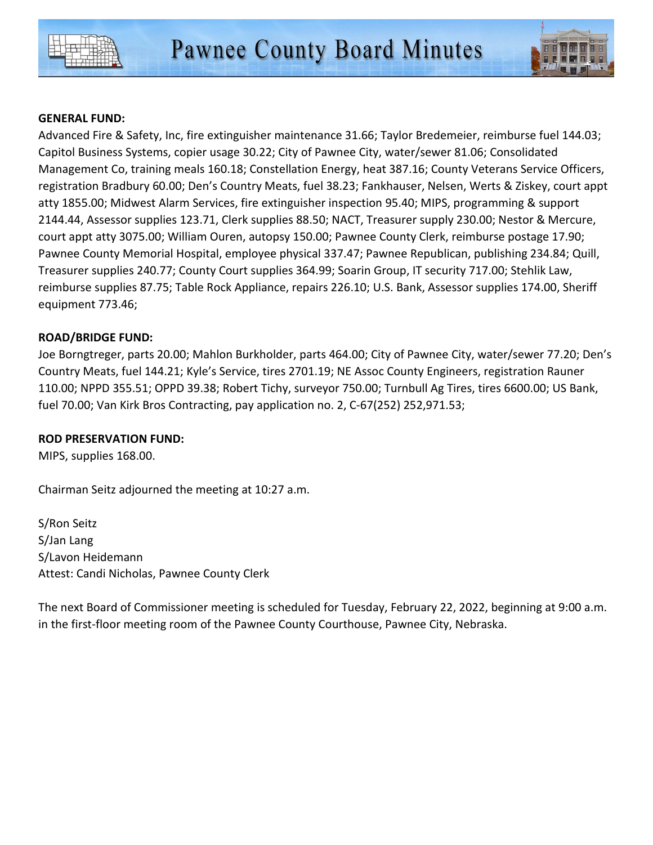



## **GENERAL FUND:**

Advanced Fire & Safety, Inc, fire extinguisher maintenance 31.66; Taylor Bredemeier, reimburse fuel 144.03; Capitol Business Systems, copier usage 30.22; City of Pawnee City, water/sewer 81.06; Consolidated Management Co, training meals 160.18; Constellation Energy, heat 387.16; County Veterans Service Officers, registration Bradbury 60.00; Den's Country Meats, fuel 38.23; Fankhauser, Nelsen, Werts & Ziskey, court appt atty 1855.00; Midwest Alarm Services, fire extinguisher inspection 95.40; MIPS, programming & support 2144.44, Assessor supplies 123.71, Clerk supplies 88.50; NACT, Treasurer supply 230.00; Nestor & Mercure, court appt atty 3075.00; William Ouren, autopsy 150.00; Pawnee County Clerk, reimburse postage 17.90; Pawnee County Memorial Hospital, employee physical 337.47; Pawnee Republican, publishing 234.84; Quill, Treasurer supplies 240.77; County Court supplies 364.99; Soarin Group, IT security 717.00; Stehlik Law, reimburse supplies 87.75; Table Rock Appliance, repairs 226.10; U.S. Bank, Assessor supplies 174.00, Sheriff equipment 773.46;

## **ROAD/BRIDGE FUND:**

Joe Borngtreger, parts 20.00; Mahlon Burkholder, parts 464.00; City of Pawnee City, water/sewer 77.20; Den's Country Meats, fuel 144.21; Kyle's Service, tires 2701.19; NE Assoc County Engineers, registration Rauner 110.00; NPPD 355.51; OPPD 39.38; Robert Tichy, surveyor 750.00; Turnbull Ag Tires, tires 6600.00; US Bank, fuel 70.00; Van Kirk Bros Contracting, pay application no. 2, C-67(252) 252,971.53;

## **ROD PRESERVATION FUND:**

MIPS, supplies 168.00.

Chairman Seitz adjourned the meeting at 10:27 a.m.

S/Ron Seitz S/Jan Lang S/Lavon Heidemann Attest: Candi Nicholas, Pawnee County Clerk

The next Board of Commissioner meeting is scheduled for Tuesday, February 22, 2022, beginning at 9:00 a.m. in the first-floor meeting room of the Pawnee County Courthouse, Pawnee City, Nebraska.